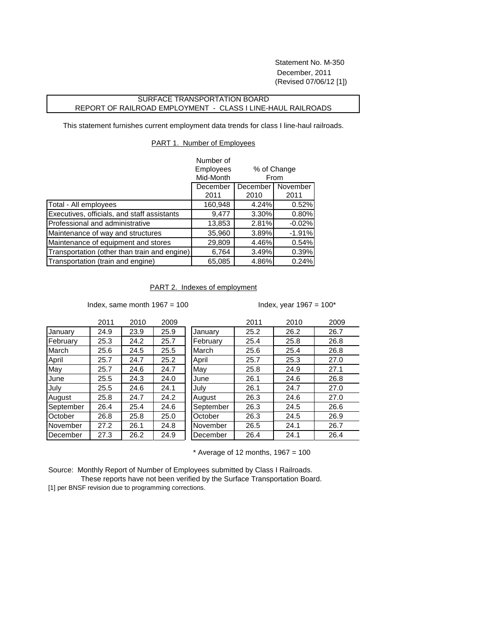Statement No. M-350 December, 2011 (Revised 07/06/12 [1])

## SURFACE TRANSPORTATION BOARD REPORT OF RAILROAD EMPLOYMENT - CLASS I LINE-HAUL RAILROADS

This statement furnishes current employment data trends for class I line-haul railroads.

## PART 1. Number of Employees

|                                              | Number of        |             |          |  |
|----------------------------------------------|------------------|-------------|----------|--|
|                                              | <b>Employees</b> | % of Change |          |  |
|                                              | Mid-Month        | From        |          |  |
|                                              | December         | December    | November |  |
|                                              | 2011             | 2010        | 2011     |  |
| Total - All employees                        | 160,948          | 4.24%       | 0.52%    |  |
| Executives, officials, and staff assistants  | 9,477            | 3.30%       | 0.80%    |  |
| Professional and administrative              | 13,853           | 2.81%       | $-0.02%$ |  |
| Maintenance of way and structures            | 35,960           | 3.89%       | $-1.91%$ |  |
| Maintenance of equipment and stores          | 29,809           | 4.46%       | 0.54%    |  |
| Transportation (other than train and engine) | 6,764            | 3.49%       | 0.39%    |  |
| Transportation (train and engine)            | 65,085           | 4.86%       | 0.24%    |  |

## PART 2. Indexes of employment

Index, same month  $1967 = 100$  Index, year  $1967 = 100^*$ 

|           | 2011 | 2010 | 2009 |           | 2011 | 2010 | 2009 |
|-----------|------|------|------|-----------|------|------|------|
| January   | 24.9 | 23.9 | 25.9 | January   | 25.2 | 26.2 | 26.7 |
| February  | 25.3 | 24.2 | 25.7 | February  | 25.4 | 25.8 | 26.8 |
| March     | 25.6 | 24.5 | 25.5 | March     | 25.6 | 25.4 | 26.8 |
| April     | 25.7 | 24.7 | 25.2 | April     | 25.7 | 25.3 | 27.0 |
| May       | 25.7 | 24.6 | 24.7 | May       | 25.8 | 24.9 | 27.1 |
| June      | 25.5 | 24.3 | 24.0 | June      | 26.1 | 24.6 | 26.8 |
| July      | 25.5 | 24.6 | 24.1 | July      | 26.1 | 24.7 | 27.0 |
| August    | 25.8 | 24.7 | 24.2 | August    | 26.3 | 24.6 | 27.0 |
| September | 26.4 | 25.4 | 24.6 | September | 26.3 | 24.5 | 26.6 |
| October   | 26.8 | 25.8 | 25.0 | October   | 26.3 | 24.5 | 26.9 |
| November  | 27.2 | 26.1 | 24.8 | November  | 26.5 | 24.1 | 26.7 |
| December  | 27.3 | 26.2 | 24.9 | December  | 26.4 | 24.1 | 26.4 |

 $*$  Average of 12 months, 1967 = 100

Source: Monthly Report of Number of Employees submitted by Class I Railroads.

 These reports have not been verified by the Surface Transportation Board. [1] per BNSF revision due to programming corrections.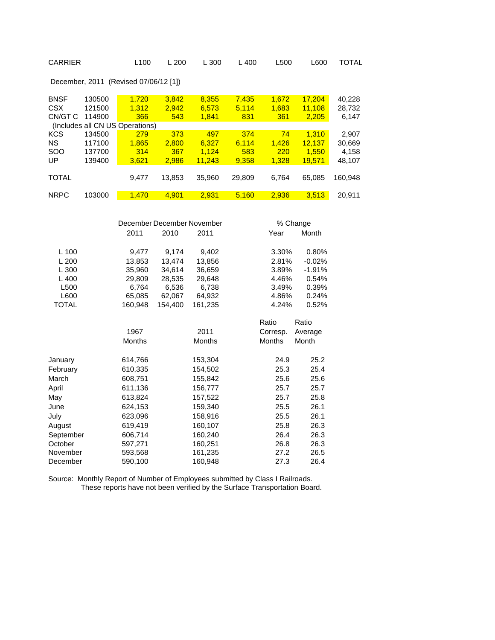| <b>CARRIER</b>                                                                                                         |                                      | L100                                                                                                                             | L 200                                                                     | L 300                                                                                                                            | L 400                        | L500                                                                                               | L600                                                                                                                | TOTAL                              |
|------------------------------------------------------------------------------------------------------------------------|--------------------------------------|----------------------------------------------------------------------------------------------------------------------------------|---------------------------------------------------------------------------|----------------------------------------------------------------------------------------------------------------------------------|------------------------------|----------------------------------------------------------------------------------------------------|---------------------------------------------------------------------------------------------------------------------|------------------------------------|
|                                                                                                                        |                                      | December, 2011 (Revised 07/06/12 [1])                                                                                            |                                                                           |                                                                                                                                  |                              |                                                                                                    |                                                                                                                     |                                    |
| <b>BNSF</b><br><b>CSX</b><br>CN/GT C                                                                                   | 130500<br>121500<br>114900           | 1,720<br>1,312<br>366<br>(Includes all CN US Operations)                                                                         | 3,842<br>2,942<br>543                                                     | 8,355<br>6,573<br>1,841                                                                                                          | 7,435<br>5,114<br>831        | 1,672<br>1,683<br>361                                                                              | 17,204<br>11,108<br>2,205                                                                                           | 40,228<br>28,732<br>6,147          |
| <b>KCS</b><br><b>NS</b><br>SOO<br>UP                                                                                   | 134500<br>117100<br>137700<br>139400 | <u>279</u><br>1,865<br>314<br>3,621                                                                                              | 373<br>2,800<br>367<br>2,986                                              | 497<br>6,327<br>1,124<br>11,243                                                                                                  | 374<br>6,114<br>583<br>9,358 | 74<br>1,426<br>220<br>1,328                                                                        | 1,310<br>12,137<br>1,550<br>19,571                                                                                  | 2,907<br>30,669<br>4,158<br>48,107 |
| <b>TOTAL</b>                                                                                                           |                                      | 9,477                                                                                                                            | 13,853                                                                    | 35,960                                                                                                                           | 29,809                       | 6,764                                                                                              | 65,085                                                                                                              | 160,948                            |
| <b>NRPC</b>                                                                                                            | 103000                               | 1,470                                                                                                                            | 4,901                                                                     | 2,931                                                                                                                            | 5,160                        | 2,936                                                                                              | 3,513                                                                                                               | 20,911                             |
| L 100<br>L 200<br>L 300<br>L 400<br>L500<br>L600<br><b>TOTAL</b>                                                       |                                      | December December November<br>2011<br>9,477<br>13,853<br>35,960<br>29,809<br>6,764<br>65,085<br>160,948<br>1967<br>Months        | 2010<br>9,174<br>13,474<br>34,614<br>28,535<br>6,536<br>62,067<br>154,400 | 2011<br>9,402<br>13,856<br>36,659<br>29,648<br>6,738<br>64,932<br>161,235<br>2011<br>Months                                      |                              | Year<br>3.30%<br>2.81%<br>3.89%<br>4.46%<br>3.49%<br>4.86%<br>4.24%<br>Ratio<br>Corresp.<br>Months | % Change<br>Month<br>0.80%<br>$-0.02%$<br>$-1.91%$<br>0.54%<br>0.39%<br>0.24%<br>0.52%<br>Ratio<br>Average<br>Month |                                    |
| January<br>February<br>March<br>April<br>May<br>June<br>July<br>August<br>September<br>October<br>November<br>December |                                      | 614,766<br>610,335<br>608,751<br>611,136<br>613,824<br>624,153<br>623,096<br>619,419<br>606,714<br>597,271<br>593,568<br>590,100 |                                                                           | 153,304<br>154,502<br>155,842<br>156,777<br>157,522<br>159,340<br>158,916<br>160,107<br>160,240<br>160,251<br>161,235<br>160,948 |                              | 24.9<br>25.3<br>25.6<br>25.7<br>25.7<br>25.5<br>25.5<br>25.8<br>26.4<br>26.8<br>27.2<br>27.3       | 25.2<br>25.4<br>25.6<br>25.7<br>25.8<br>26.1<br>26.1<br>26.3<br>26.3<br>26.3<br>26.5<br>26.4                        |                                    |

Source: Monthly Report of Number of Employees submitted by Class I Railroads. These reports have not been verified by the Surface Transportation Board.